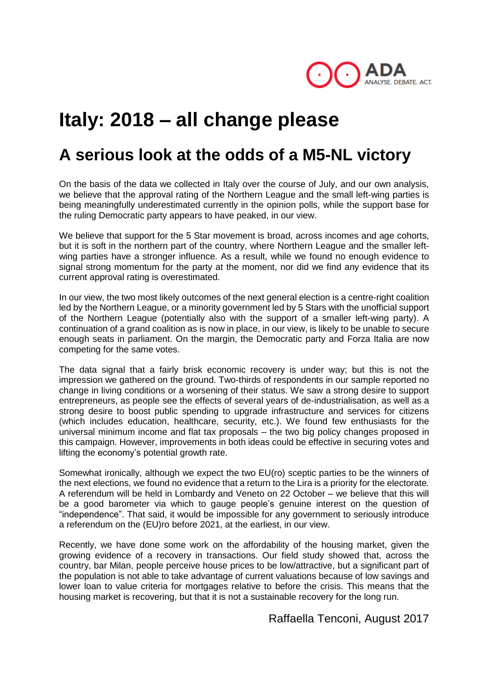

# **Italy: 2018 – all change please**

## **A serious look at the odds of a M5-NL victory**

On the basis of the data we collected in Italy over the course of July, and our own analysis, we believe that the approval rating of the Northern League and the small left-wing parties is being meaningfully underestimated currently in the opinion polls, while the support base for the ruling Democratic party appears to have peaked, in our view.

We believe that support for the 5 Star movement is broad, across incomes and age cohorts, but it is soft in the northern part of the country, where Northern League and the smaller leftwing parties have a stronger influence. As a result, while we found no enough evidence to signal strong momentum for the party at the moment, nor did we find any evidence that its current approval rating is overestimated.

In our view, the two most likely outcomes of the next general election is a centre-right coalition led by the Northern League, or a minority government led by 5 Stars with the unofficial support of the Northern League (potentially also with the support of a smaller left-wing party). A continuation of a grand coalition as is now in place, in our view, is likely to be unable to secure enough seats in parliament. On the margin, the Democratic party and Forza Italia are now competing for the same votes.

The data signal that a fairly brisk economic recovery is under way; but this is not the impression we gathered on the ground. Two-thirds of respondents in our sample reported no change in living conditions or a worsening of their status. We saw a strong desire to support entrepreneurs, as people see the effects of several years of de-industrialisation, as well as a strong desire to boost public spending to upgrade infrastructure and services for citizens (which includes education, healthcare, security, etc.). We found few enthusiasts for the universal minimum income and flat tax proposals – the two big policy changes proposed in this campaign. However, improvements in both ideas could be effective in securing votes and lifting the economy's potential growth rate.

Somewhat ironically, although we expect the two EU(ro) sceptic parties to be the winners of the next elections, we found no evidence that a return to the Lira is a priority for the electorate. A referendum will be held in Lombardy and Veneto on 22 October – we believe that this will be a good barometer via which to gauge people's genuine interest on the question of "independence". That said, it would be impossible for any government to seriously introduce a referendum on the (EU)ro before 2021, at the earliest, in our view.

Recently, we have done some work on the affordability of the housing market, given the growing evidence of a recovery in transactions. Our field study showed that, across the country, bar Milan, people perceive house prices to be low/attractive, but a significant part of the population is not able to take advantage of current valuations because of low savings and lower loan to value criteria for mortgages relative to before the crisis. This means that the housing market is recovering, but that it is not a sustainable recovery for the long run.

Raffaella Tenconi, August 2017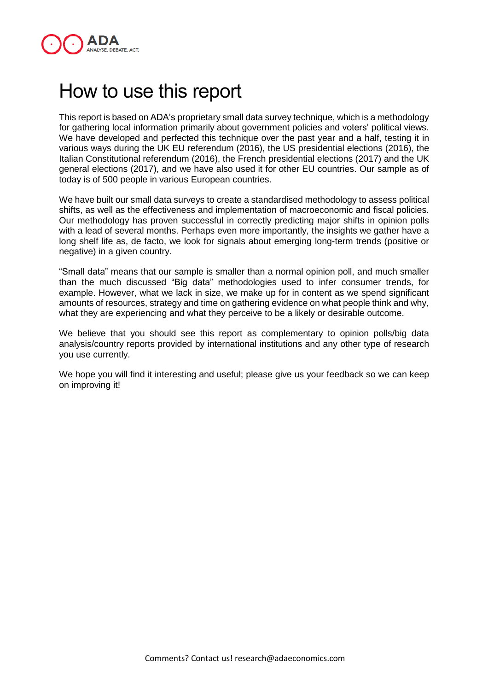

## How to use this report

This report is based on ADA's proprietary small data survey technique, which is a methodology for gathering local information primarily about government policies and voters' political views. We have developed and perfected this technique over the past year and a half, testing it in various ways during the UK EU referendum (2016), the US presidential elections (2016), the Italian Constitutional referendum (2016), the French presidential elections (2017) and the UK general elections (2017), and we have also used it for other EU countries. Our sample as of today is of 500 people in various European countries.

We have built our small data surveys to create a standardised methodology to assess political shifts, as well as the effectiveness and implementation of macroeconomic and fiscal policies. Our methodology has proven successful in correctly predicting major shifts in opinion polls with a lead of several months. Perhaps even more importantly, the insights we gather have a long shelf life as, de facto, we look for signals about emerging long-term trends (positive or negative) in a given country.

"Small data" means that our sample is smaller than a normal opinion poll, and much smaller than the much discussed "Big data" methodologies used to infer consumer trends, for example. However, what we lack in size, we make up for in content as we spend significant amounts of resources, strategy and time on gathering evidence on what people think and why, what they are experiencing and what they perceive to be a likely or desirable outcome.

We believe that you should see this report as complementary to opinion polls/big data analysis/country reports provided by international institutions and any other type of research you use currently.

We hope you will find it interesting and useful; please give us your feedback so we can keep on improving it!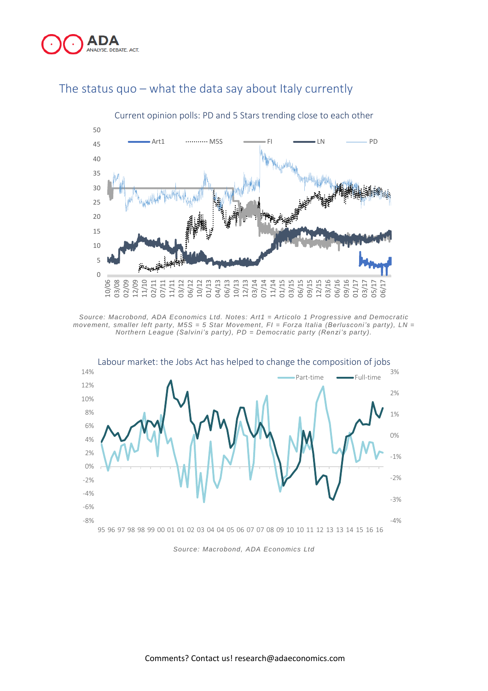



## The status quo – what the data say about Italy currently

*Source: Macrobond, ADA Economics Ltd. Notes: Art1 = Articolo 1 Progressive and Democratic movement, smaller left party, M5S = 5 Star Movement, FI = Forza Italia (Be rlusconi's party), LN = Northern League* (Salvini's party),  $PD = Demonoratic$  *party* (Renzi's party).



*Source: Macrobond, ADA Economics Ltd*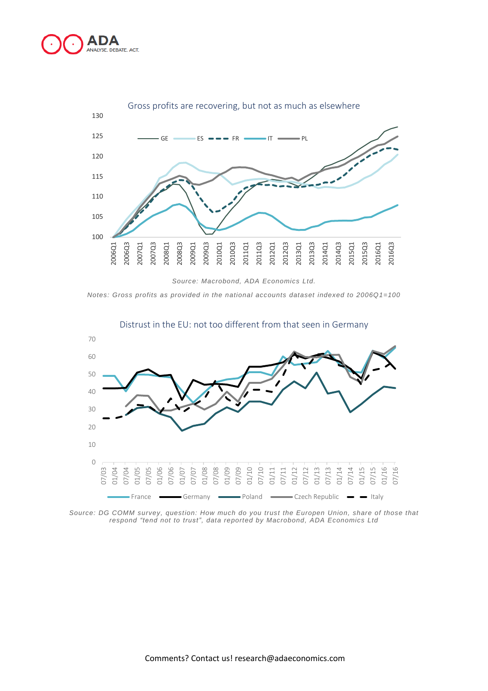



*Source: Macrobond, ADA Economics Ltd.*

*Notes: Gross profits as provided in the national accounts dataset indexed to 2006Q1=100*



Distrust in the EU: not too different from that seen in Germany

*Source: DG COMM survey, question: How much do you trust the Europen Union, share of those that respond "tend not to t rust ", data reported by Macrobond, ADA Economics Ltd*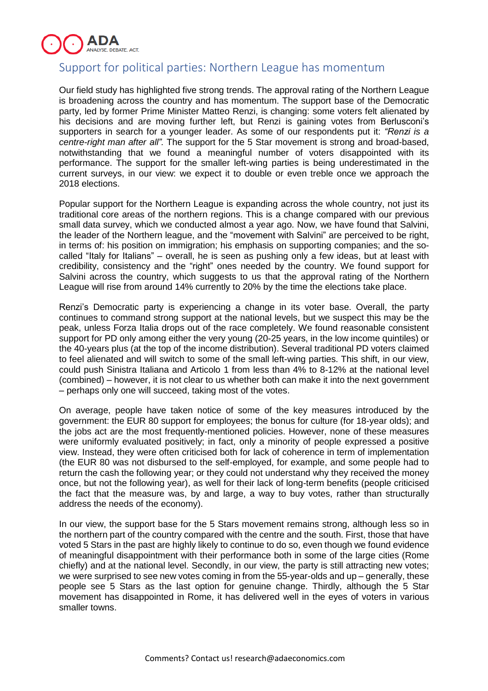

## Support for political parties: Northern League has momentum

Our field study has highlighted five strong trends. The approval rating of the Northern League is broadening across the country and has momentum. The support base of the Democratic party, led by former Prime Minister Matteo Renzi, is changing: some voters felt alienated by his decisions and are moving further left, but Renzi is gaining votes from Berlusconi's supporters in search for a younger leader. As some of our respondents put it: *"Renzi is a centre-right man after all".* The support for the 5 Star movement is strong and broad-based, notwithstanding that we found a meaningful number of voters disappointed with its performance. The support for the smaller left-wing parties is being underestimated in the current surveys, in our view: we expect it to double or even treble once we approach the 2018 elections.

Popular support for the Northern League is expanding across the whole country, not just its traditional core areas of the northern regions. This is a change compared with our previous small data survey, which we conducted almost a year ago. Now, we have found that Salvini, the leader of the Northern league, and the "movement with Salvini" are perceived to be right, in terms of: his position on immigration; his emphasis on supporting companies; and the socalled "Italy for Italians" – overall, he is seen as pushing only a few ideas, but at least with credibility, consistency and the "right" ones needed by the country. We found support for Salvini across the country, which suggests to us that the approval rating of the Northern League will rise from around 14% currently to 20% by the time the elections take place.

Renzi's Democratic party is experiencing a change in its voter base. Overall, the party continues to command strong support at the national levels, but we suspect this may be the peak, unless Forza Italia drops out of the race completely. We found reasonable consistent support for PD only among either the very young (20-25 years, in the low income quintiles) or the 40-years plus (at the top of the income distribution). Several traditional PD voters claimed to feel alienated and will switch to some of the small left-wing parties. This shift, in our view, could push Sinistra Italiana and Articolo 1 from less than 4% to 8-12% at the national level (combined) – however, it is not clear to us whether both can make it into the next government – perhaps only one will succeed, taking most of the votes.

On average, people have taken notice of some of the key measures introduced by the government: the EUR 80 support for employees; the bonus for culture (for 18-year olds); and the jobs act are the most frequently-mentioned policies. However, none of these measures were uniformly evaluated positively; in fact, only a minority of people expressed a positive view. Instead, they were often criticised both for lack of coherence in term of implementation (the EUR 80 was not disbursed to the self-employed, for example, and some people had to return the cash the following year; or they could not understand why they received the money once, but not the following year), as well for their lack of long-term benefits (people criticised the fact that the measure was, by and large, a way to buy votes, rather than structurally address the needs of the economy).

In our view, the support base for the 5 Stars movement remains strong, although less so in the northern part of the country compared with the centre and the south. First, those that have voted 5 Stars in the past are highly likely to continue to do so, even though we found evidence of meaningful disappointment with their performance both in some of the large cities (Rome chiefly) and at the national level. Secondly, in our view, the party is still attracting new votes; we were surprised to see new votes coming in from the 55-year-olds and up – generally, these people see 5 Stars as the last option for genuine change. Thirdly, although the 5 Star movement has disappointed in Rome, it has delivered well in the eyes of voters in various smaller towns.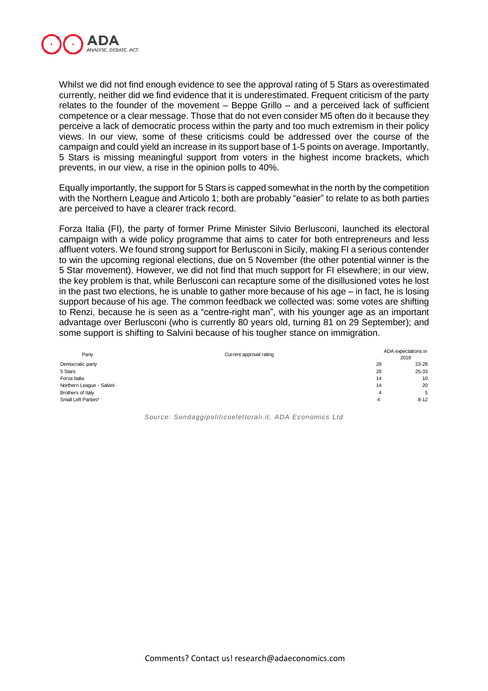

Whilst we did not find enough evidence to see the approval rating of 5 Stars as overestimated currently, neither did we find evidence that it is underestimated. Frequent criticism of the party relates to the founder of the movement – Beppe Grillo – and a perceived lack of sufficient competence or a clear message. Those that do not even consider M5 often do it because they perceive a lack of democratic process within the party and too much extremism in their policy views. In our view, some of these criticisms could be addressed over the course of the campaign and could yield an increase in its support base of 1-5 points on average. Importantly, 5 Stars is missing meaningful support from voters in the highest income brackets, which prevents, in our view, a rise in the opinion polls to 40%.

Equally importantly, the support for 5 Stars is capped somewhat in the north by the competition with the Northern League and Articolo 1; both are probably "easier" to relate to as both parties are perceived to have a clearer track record.

Forza Italia (FI), the party of former Prime Minister Silvio Berlusconi, launched its electoral campaign with a wide policy programme that aims to cater for both entrepreneurs and less affluent voters. We found strong support for Berlusconi in Sicily, making FI a serious contender to win the upcoming regional elections, due on 5 November (the other potential winner is the 5 Star movement). However, we did not find that much support for FI elsewhere; in our view, the key problem is that, while Berlusconi can recapture some of the disillusioned votes he lost in the past two elections, he is unable to gather more because of his age – in fact, he is losing support because of his age. The common feedback we collected was: some votes are shifting to Renzi, because he is seen as a "centre-right man", with his younger age as an important advantage over Berlusconi (who is currently 80 years old, turning 81 on 29 September); and some support is shifting to Salvini because of his tougher stance on immigration.

| Party                     | Current approval rating | ADA expectations in<br>2018 |
|---------------------------|-------------------------|-----------------------------|
| Democratic party          | 28                      | 23-28                       |
| 5 Stars                   | 28                      | 25-33                       |
| Forza Italia              | 14                      | 10                          |
| Northern League - Salvini | 14                      | 20                          |
| Brothers of Italy         | 4                       | 5                           |
| Small Left Parties*       | 4                       | $8 - 12$                    |

*Source: Sondaggipoliticoelettorali.it, ADA Economics Ltd*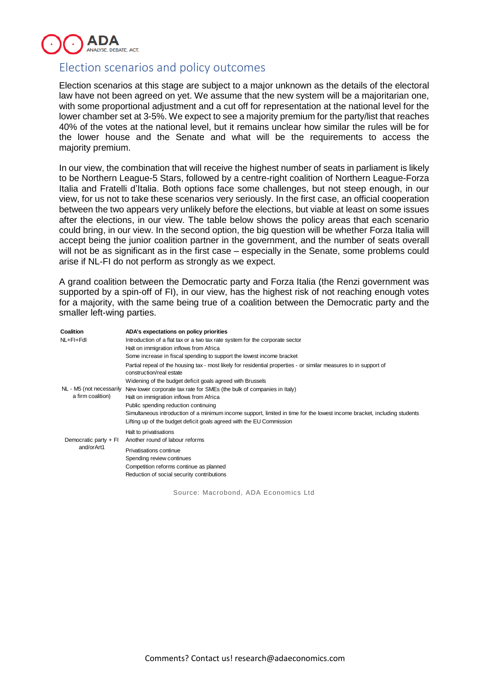

## Election scenarios and policy outcomes

Election scenarios at this stage are subject to a major unknown as the details of the electoral law have not been agreed on yet. We assume that the new system will be a majoritarian one, with some proportional adjustment and a cut off for representation at the national level for the lower chamber set at 3-5%. We expect to see a majority premium for the party/list that reaches 40% of the votes at the national level, but it remains unclear how similar the rules will be for the lower house and the Senate and what will be the requirements to access the majority premium.

In our view, the combination that will receive the highest number of seats in parliament is likely to be Northern League-5 Stars, followed by a centre-right coalition of Northern League-Forza Italia and Fratelli d'Italia. Both options face some challenges, but not steep enough, in our view, for us not to take these scenarios very seriously. In the first case, an official cooperation between the two appears very unlikely before the elections, but viable at least on some issues after the elections, in our view. The table below shows the policy areas that each scenario could bring, in our view. In the second option, the big question will be whether Forza Italia will accept being the junior coalition partner in the government, and the number of seats overall will not be as significant as in the first case – especially in the Senate, some problems could arise if NL-FI do not perform as strongly as we expect.

A grand coalition between the Democratic party and Forza Italia (the Renzi government was supported by a spin-off of FI), in our view, has the highest risk of not reaching enough votes for a majority, with the same being true of a coalition between the Democratic party and the smaller left-wing parties.

| Coalition                           | ADA's expectations on policy priorities                                                                                                       |
|-------------------------------------|-----------------------------------------------------------------------------------------------------------------------------------------------|
| NL+FI+Fdl                           | Introduction of a flat tax or a two tax rate system for the corporate sector                                                                  |
|                                     | Halt on immigration inflows from Africa                                                                                                       |
|                                     | Some increase in fiscal spending to support the lowest income bracket                                                                         |
|                                     | Partial repeal of the housing tax - most likely for residential properties - or similar measures to in support of<br>construction/real estate |
|                                     | Widening of the budget deficit goals agreed with Brussels                                                                                     |
| NL - M5 (not necessarily            | New lower corporate tax rate for SMEs (the bulk of companies in Italy)                                                                        |
| a firm coalition)                   | Halt on immigration inflows from Africa                                                                                                       |
|                                     | Public spending reduction continuing                                                                                                          |
|                                     | Simultaneous introduction of a minimum income support, limited in time for the lowest income bracket, including students                      |
|                                     | Lifting up of the budget deficit goals agreed with the EU Commission                                                                          |
|                                     | Halt to privatisations                                                                                                                        |
| Democratic party + FI<br>and/orArt1 | Another round of labour reforms                                                                                                               |
|                                     | Privatisations continue                                                                                                                       |
|                                     | Spending review continues                                                                                                                     |
|                                     | Competition reforms continue as planned                                                                                                       |
|                                     | Reduction of social security contributions                                                                                                    |

Source: Macrobond, ADA Economics Ltd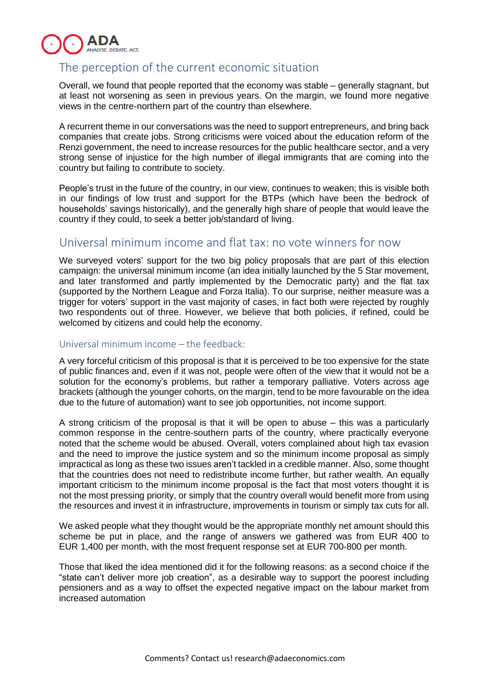

## The perception of the current economic situation

Overall, we found that people reported that the economy was stable – generally stagnant, but at least not worsening as seen in previous years. On the margin, we found more negative views in the centre-northern part of the country than elsewhere.

A recurrent theme in our conversations was the need to support entrepreneurs, and bring back companies that create jobs. Strong criticisms were voiced about the education reform of the Renzi government, the need to increase resources for the public healthcare sector, and a very strong sense of injustice for the high number of illegal immigrants that are coming into the country but failing to contribute to society.

People's trust in the future of the country, in our view, continues to weaken; this is visible both in our findings of low trust and support for the BTPs (which have been the bedrock of households' savings historically), and the generally high share of people that would leave the country if they could, to seek a better job/standard of living.

## Universal minimum income and flat tax: no vote winners for now

We surveyed voters' support for the two big policy proposals that are part of this election campaign: the universal minimum income (an idea initially launched by the 5 Star movement, and later transformed and partly implemented by the Democratic party) and the flat tax (supported by the Northern League and Forza Italia). To our surprise, neither measure was a trigger for voters' support in the vast majority of cases, in fact both were rejected by roughly two respondents out of three. However, we believe that both policies, if refined, could be welcomed by citizens and could help the economy.

#### Universal minimum income – the feedback:

A very forceful criticism of this proposal is that it is perceived to be too expensive for the state of public finances and, even if it was not, people were often of the view that it would not be a solution for the economy's problems, but rather a temporary palliative. Voters across age brackets (although the younger cohorts, on the margin, tend to be more favourable on the idea due to the future of automation) want to see job opportunities, not income support.

A strong criticism of the proposal is that it will be open to abuse – this was a particularly common response in the centre-southern parts of the country, where practically everyone noted that the scheme would be abused. Overall, voters complained about high tax evasion and the need to improve the justice system and so the minimum income proposal as simply impractical as long as these two issues aren't tackled in a credible manner. Also, some thought that the countries does not need to redistribute income further, but rather wealth. An equally important criticism to the minimum income proposal is the fact that most voters thought it is not the most pressing priority, or simply that the country overall would benefit more from using the resources and invest it in infrastructure, improvements in tourism or simply tax cuts for all.

We asked people what they thought would be the appropriate monthly net amount should this scheme be put in place, and the range of answers we gathered was from EUR 400 to EUR 1,400 per month, with the most frequent response set at EUR 700-800 per month.

Those that liked the idea mentioned did it for the following reasons: as a second choice if the "state can't deliver more job creation", as a desirable way to support the poorest including pensioners and as a way to offset the expected negative impact on the labour market from increased automation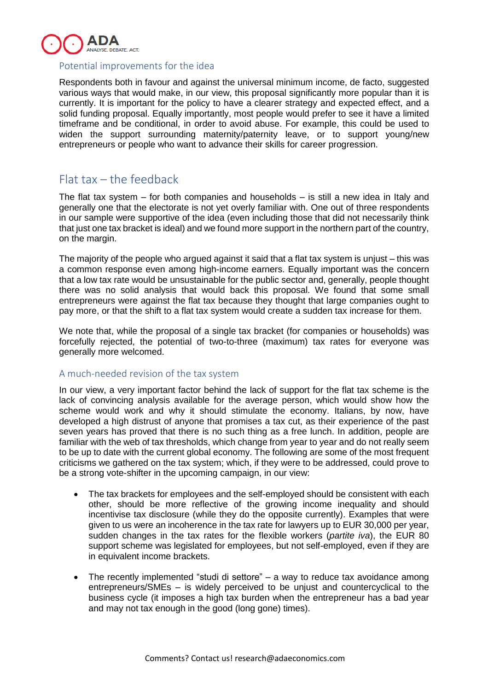

#### Potential improvements for the idea

Respondents both in favour and against the universal minimum income, de facto, suggested various ways that would make, in our view, this proposal significantly more popular than it is currently. It is important for the policy to have a clearer strategy and expected effect, and a solid funding proposal. Equally importantly, most people would prefer to see it have a limited timeframe and be conditional, in order to avoid abuse. For example, this could be used to widen the support surrounding maternity/paternity leave, or to support young/new entrepreneurs or people who want to advance their skills for career progression.

## Flat tax – the feedback

The flat tax system – for both companies and households – is still a new idea in Italy and generally one that the electorate is not yet overly familiar with. One out of three respondents in our sample were supportive of the idea (even including those that did not necessarily think that just one tax bracket is ideal) and we found more support in the northern part of the country, on the margin.

The majority of the people who argued against it said that a flat tax system is unjust – this was a common response even among high-income earners. Equally important was the concern that a low tax rate would be unsustainable for the public sector and, generally, people thought there was no solid analysis that would back this proposal. We found that some small entrepreneurs were against the flat tax because they thought that large companies ought to pay more, or that the shift to a flat tax system would create a sudden tax increase for them.

We note that, while the proposal of a single tax bracket (for companies or households) was forcefully rejected, the potential of two-to-three (maximum) tax rates for everyone was generally more welcomed.

#### A much-needed revision of the tax system

In our view, a very important factor behind the lack of support for the flat tax scheme is the lack of convincing analysis available for the average person, which would show how the scheme would work and why it should stimulate the economy. Italians, by now, have developed a high distrust of anyone that promises a tax cut, as their experience of the past seven years has proved that there is no such thing as a free lunch. In addition, people are familiar with the web of tax thresholds, which change from year to year and do not really seem to be up to date with the current global economy. The following are some of the most frequent criticisms we gathered on the tax system; which, if they were to be addressed, could prove to be a strong vote-shifter in the upcoming campaign, in our view:

- The tax brackets for employees and the self-employed should be consistent with each other, should be more reflective of the growing income inequality and should incentivise tax disclosure (while they do the opposite currently). Examples that were given to us were an incoherence in the tax rate for lawyers up to EUR 30,000 per year, sudden changes in the tax rates for the flexible workers (*partite iva*), the EUR 80 support scheme was legislated for employees, but not self-employed, even if they are in equivalent income brackets.
- The recently implemented "studi di settore" a way to reduce tax avoidance among entrepreneurs/SMEs – is widely perceived to be unjust and countercyclical to the business cycle (it imposes a high tax burden when the entrepreneur has a bad year and may not tax enough in the good (long gone) times).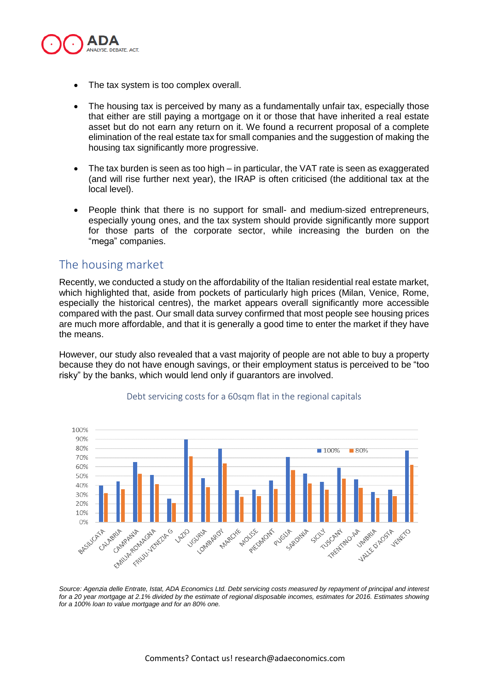

- The tax system is too complex overall.
- The housing tax is perceived by many as a fundamentally unfair tax, especially those that either are still paying a mortgage on it or those that have inherited a real estate asset but do not earn any return on it. We found a recurrent proposal of a complete elimination of the real estate tax for small companies and the suggestion of making the housing tax significantly more progressive.
- The tax burden is seen as too high in particular, the VAT rate is seen as exaggerated (and will rise further next year), the IRAP is often criticised (the additional tax at the local level).
- People think that there is no support for small- and medium-sized entrepreneurs, especially young ones, and the tax system should provide significantly more support for those parts of the corporate sector, while increasing the burden on the "mega" companies.

## The housing market

Recently, we conducted a study on the affordability of the Italian residential real estate market, which highlighted that, aside from pockets of particularly high prices (Milan, Venice, Rome, especially the historical centres), the market appears overall significantly more accessible compared with the past. Our small data survey confirmed that most people see housing prices are much more affordable, and that it is generally a good time to enter the market if they have the means.

However, our study also revealed that a vast majority of people are not able to buy a property because they do not have enough savings, or their employment status is perceived to be "too risky" by the banks, which would lend only if guarantors are involved.



#### Debt servicing costs for a 60sqm flat in the regional capitals

Source: Agenzia delle Entrate, Istat, ADA Economics Ltd. Debt servicing costs measured by repayment of principal and interest for a 20 year mortgage at 2.1% divided by the estimate of regional disposable incomes, estimates for 2016. Estimates showing *for a 100% loan to value mortgage and for an 80% one.*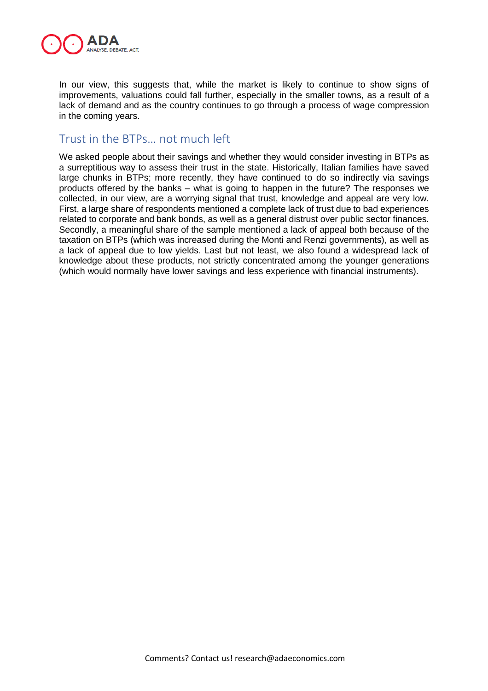

In our view, this suggests that, while the market is likely to continue to show signs of improvements, valuations could fall further, especially in the smaller towns, as a result of a lack of demand and as the country continues to go through a process of wage compression in the coming years.

## Trust in the BTPs… not much left

We asked people about their savings and whether they would consider investing in BTPs as a surreptitious way to assess their trust in the state. Historically, Italian families have saved large chunks in BTPs; more recently, they have continued to do so indirectly via savings products offered by the banks – what is going to happen in the future? The responses we collected, in our view, are a worrying signal that trust, knowledge and appeal are very low. First, a large share of respondents mentioned a complete lack of trust due to bad experiences related to corporate and bank bonds, as well as a general distrust over public sector finances. Secondly, a meaningful share of the sample mentioned a lack of appeal both because of the taxation on BTPs (which was increased during the Monti and Renzi governments), as well as a lack of appeal due to low yields. Last but not least, we also found a widespread lack of knowledge about these products, not strictly concentrated among the younger generations (which would normally have lower savings and less experience with financial instruments).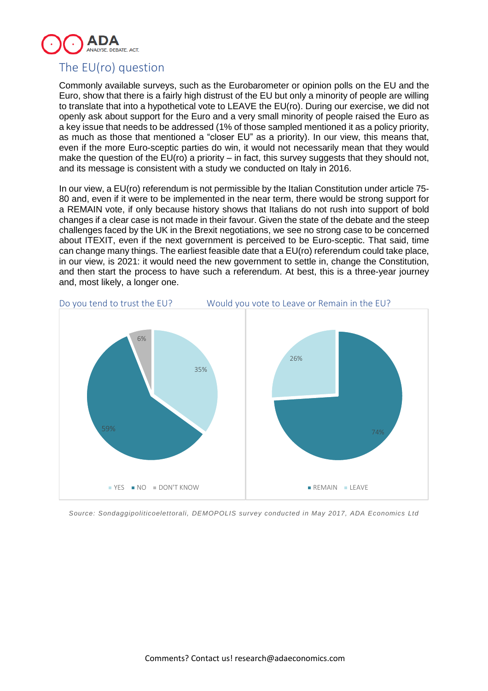

## The EU(ro) question

Commonly available surveys, such as the Eurobarometer or opinion polls on the EU and the Euro, show that there is a fairly high distrust of the EU but only a minority of people are willing to translate that into a hypothetical vote to LEAVE the EU(ro). During our exercise, we did not openly ask about support for the Euro and a very small minority of people raised the Euro as a key issue that needs to be addressed (1% of those sampled mentioned it as a policy priority, as much as those that mentioned a "closer EU" as a priority). In our view, this means that, even if the more Euro-sceptic parties do win, it would not necessarily mean that they would make the question of the  $EU(ro)$  a priority – in fact, this survey suggests that they should not, and its message is consistent with a study we conducted on Italy in 2016.

In our view, a EU(ro) referendum is not permissible by the Italian Constitution under article 75- 80 and, even if it were to be implemented in the near term, there would be strong support for a REMAIN vote, if only because history shows that Italians do not rush into support of bold changes if a clear case is not made in their favour. Given the state of the debate and the steep challenges faced by the UK in the Brexit negotiations, we see no strong case to be concerned about ITEXIT, even if the next government is perceived to be Euro-sceptic. That said, time can change many things. The earliest feasible date that a EU(ro) referendum could take place, in our view, is 2021: it would need the new government to settle in, change the Constitution, and then start the process to have such a referendum. At best, this is a three-year journey and, most likely, a longer one.



*Source: Sondaggipoliticoelettorali, DEMOPOLIS survey conducted in May 2017, ADA Economics Ltd*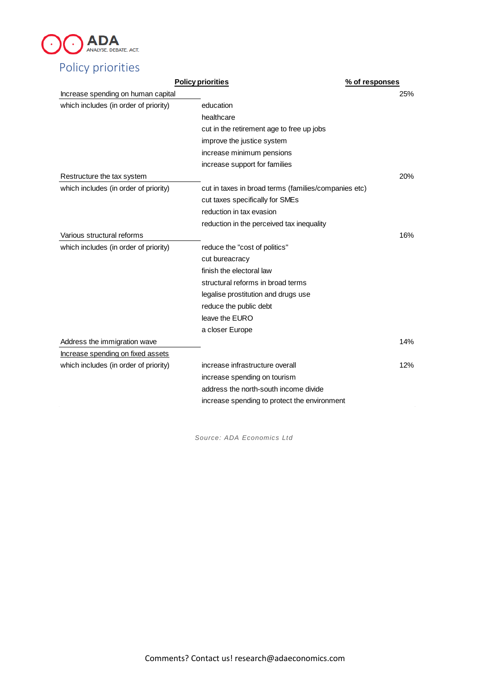

|                                       | <b>Policy priorities</b>                             | % of responses |
|---------------------------------------|------------------------------------------------------|----------------|
| Increase spending on human capital    |                                                      | 25%            |
| which includes (in order of priority) | education                                            |                |
|                                       | healthcare                                           |                |
|                                       | cut in the retirement age to free up jobs            |                |
|                                       | improve the justice system                           |                |
|                                       | increase minimum pensions                            |                |
|                                       | increase support for families                        |                |
| Restructure the tax system            |                                                      | 20%            |
| which includes (in order of priority) | cut in taxes in broad terms (families/companies etc) |                |
|                                       | cut taxes specifically for SMEs                      |                |
|                                       | reduction in tax evasion                             |                |
|                                       | reduction in the perceived tax inequality            |                |
| Various structural reforms            |                                                      | 16%            |
| which includes (in order of priority) | reduce the "cost of politics"                        |                |
|                                       | cut bureacracy                                       |                |
|                                       | finish the electoral law                             |                |
|                                       | structural reforms in broad terms                    |                |
|                                       | legalise prostitution and drugs use                  |                |
|                                       | reduce the public debt                               |                |
|                                       | leave the EURO                                       |                |
|                                       | a closer Europe                                      |                |
| Address the immigration wave          |                                                      | 14%            |
| Increase spending on fixed assets     |                                                      |                |
| which includes (in order of priority) | increase infrastructure overall                      | 12%            |
|                                       | increase spending on tourism                         |                |
|                                       | address the north-south income divide                |                |
|                                       | increase spending to protect the environment         |                |
|                                       |                                                      |                |

*Source: ADA Economics Ltd*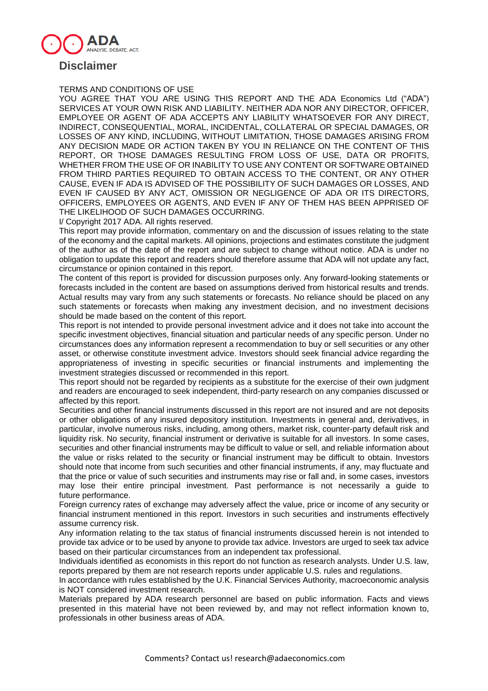

#### TERMS AND CONDITIONS OF USE

YOU AGREE THAT YOU ARE USING THIS REPORT AND THE ADA Economics Ltd ("ADA") SERVICES AT YOUR OWN RISK AND LIABILITY. NEITHER ADA NOR ANY DIRECTOR, OFFICER, EMPLOYEE OR AGENT OF ADA ACCEPTS ANY LIABILITY WHATSOEVER FOR ANY DIRECT, INDIRECT, CONSEQUENTIAL, MORAL, INCIDENTAL, COLLATERAL OR SPECIAL DAMAGES, OR LOSSES OF ANY KIND, INCLUDING, WITHOUT LIMITATION, THOSE DAMAGES ARISING FROM ANY DECISION MADE OR ACTION TAKEN BY YOU IN RELIANCE ON THE CONTENT OF THIS REPORT, OR THOSE DAMAGES RESULTING FROM LOSS OF USE, DATA OR PROFITS, WHETHER FROM THE USE OF OR INABILITY TO USE ANY CONTENT OR SOFTWARE OBTAINED FROM THIRD PARTIES REQUIRED TO OBTAIN ACCESS TO THE CONTENT, OR ANY OTHER CAUSE, EVEN IF ADA IS ADVISED OF THE POSSIBILITY OF SUCH DAMAGES OR LOSSES, AND EVEN IF CAUSED BY ANY ACT, OMISSION OR NEGLIGENCE OF ADA OR ITS DIRECTORS, OFFICERS, EMPLOYEES OR AGENTS, AND EVEN IF ANY OF THEM HAS BEEN APPRISED OF THE LIKELIHOOD OF SUCH DAMAGES OCCURRING.

I/ Copyright 2017 ADA. All rights reserved.

This report may provide information, commentary on and the discussion of issues relating to the state of the economy and the capital markets. All opinions, projections and estimates constitute the judgment of the author as of the date of the report and are subject to change without notice. ADA is under no obligation to update this report and readers should therefore assume that ADA will not update any fact, circumstance or opinion contained in this report.

The content of this report is provided for discussion purposes only. Any forward-looking statements or forecasts included in the content are based on assumptions derived from historical results and trends. Actual results may vary from any such statements or forecasts. No reliance should be placed on any such statements or forecasts when making any investment decision, and no investment decisions should be made based on the content of this report.

This report is not intended to provide personal investment advice and it does not take into account the specific investment objectives, financial situation and particular needs of any specific person. Under no circumstances does any information represent a recommendation to buy or sell securities or any other asset, or otherwise constitute investment advice. Investors should seek financial advice regarding the appropriateness of investing in specific securities or financial instruments and implementing the investment strategies discussed or recommended in this report.

This report should not be regarded by recipients as a substitute for the exercise of their own judgment and readers are encouraged to seek independent, third-party research on any companies discussed or affected by this report.

Securities and other financial instruments discussed in this report are not insured and are not deposits or other obligations of any insured depository institution. Investments in general and, derivatives, in particular, involve numerous risks, including, among others, market risk, counter-party default risk and liquidity risk. No security, financial instrument or derivative is suitable for all investors. In some cases, securities and other financial instruments may be difficult to value or sell, and reliable information about the value or risks related to the security or financial instrument may be difficult to obtain. Investors should note that income from such securities and other financial instruments, if any, may fluctuate and that the price or value of such securities and instruments may rise or fall and, in some cases, investors may lose their entire principal investment. Past performance is not necessarily a guide to future performance.

Foreign currency rates of exchange may adversely affect the value, price or income of any security or financial instrument mentioned in this report. Investors in such securities and instruments effectively assume currency risk.

Any information relating to the tax status of financial instruments discussed herein is not intended to provide tax advice or to be used by anyone to provide tax advice. Investors are urged to seek tax advice based on their particular circumstances from an independent tax professional.

Individuals identified as economists in this report do not function as research analysts. Under U.S. law, reports prepared by them are not research reports under applicable U.S. rules and regulations.

In accordance with rules established by the U.K. Financial Services Authority, macroeconomic analysis is NOT considered investment research.

Materials prepared by ADA research personnel are based on public information. Facts and views presented in this material have not been reviewed by, and may not reflect information known to, professionals in other business areas of ADA.